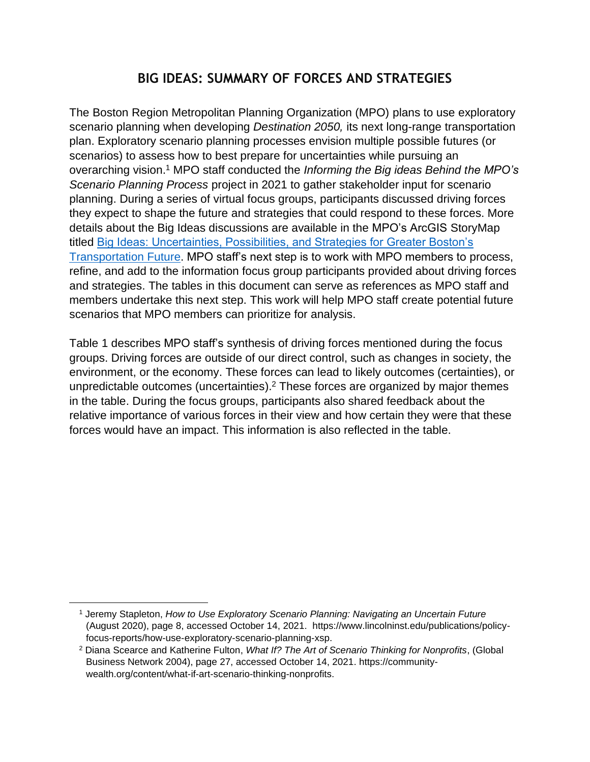## **BIG IDEAS: SUMMARY OF FORCES AND STRATEGIES**

The Boston Region Metropolitan Planning Organization (MPO) plans to use exploratory scenario planning when developing *Destination 2050,* its next long-range transportation plan. Exploratory scenario planning processes envision multiple possible futures (or scenarios) to assess how to best prepare for uncertainties while pursuing an overarching vision. <sup>1</sup> MPO staff conducted the *Informing the Big ideas Behind the MPO's Scenario Planning Process* project in 2021 to gather stakeholder input for scenario planning. During a series of virtual focus groups, participants discussed driving forces they expect to shape the future and strategies that could respond to these forces. More details about the Big Ideas discussions are available in the MPO's ArcGIS StoryMap titled [Big Ideas: Uncertainties, Possibilities, and Strategies for Greater Boston's](https://storymaps.arcgis.com/stories/c919d2e51ebb4e18bd800f48a9e8db52)  [Transportation Future.](https://storymaps.arcgis.com/stories/c919d2e51ebb4e18bd800f48a9e8db52) MPO staff's next step is to work with MPO members to process, refine, and add to the information focus group participants provided about driving forces and strategies. The tables in this document can serve as references as MPO staff and members undertake this next step. This work will help MPO staff create potential future scenarios that MPO members can prioritize for analysis.

Table 1 describes MPO staff's synthesis of driving forces mentioned during the focus groups. Driving forces are outside of our direct control, such as changes in society, the environment, or the economy. These forces can lead to likely outcomes (certainties), or unpredictable outcomes (uncertainties). $<sup>2</sup>$  These forces are organized by major themes</sup> in the table. During the focus groups, participants also shared feedback about the relative importance of various forces in their view and how certain they were that these forces would have an impact. This information is also reflected in the table.

<sup>1</sup> Jeremy Stapleton, *How to Use Exploratory Scenario Planning: Navigating an Uncertain Future* (August 2020), page 8, accessed October 14, 2021. https://www.lincolninst.edu/publications/policyfocus-reports/how-use-exploratory-scenario-planning-xsp.

<sup>2</sup> Diana Scearce and Katherine Fulton, *What If? The Art of Scenario Thinking for Nonprofits*, (Global Business Network 2004), page 27, accessed October 14, 2021. https://communitywealth.org/content/what-if-art-scenario-thinking-nonprofits.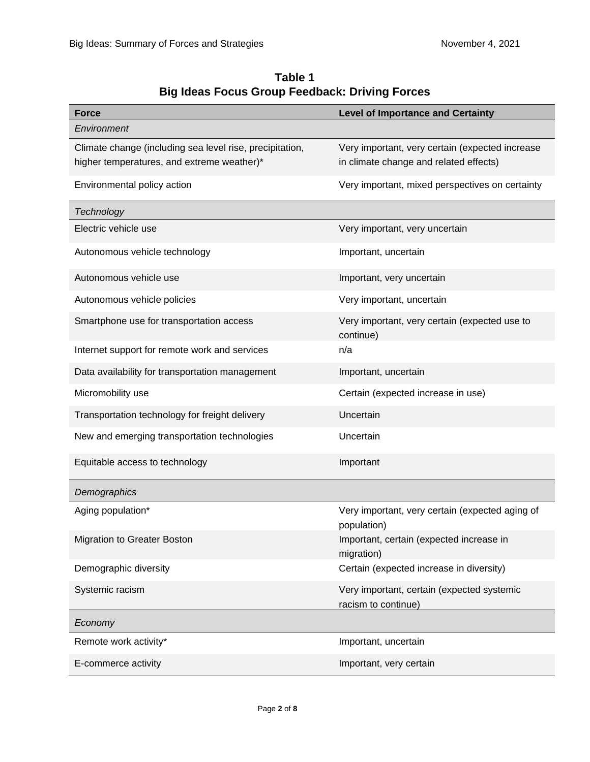**Table 1 Big Ideas Focus Group Feedback: Driving Forces**

| <b>Force</b>                                             | <b>Level of Importance and Certainty</b>                          |
|----------------------------------------------------------|-------------------------------------------------------------------|
| Environment                                              |                                                                   |
| Climate change (including sea level rise, precipitation, | Very important, very certain (expected increase                   |
| higher temperatures, and extreme weather)*               | in climate change and related effects)                            |
| Environmental policy action                              | Very important, mixed perspectives on certainty                   |
| Technology                                               |                                                                   |
| Electric vehicle use                                     | Very important, very uncertain                                    |
| Autonomous vehicle technology                            | Important, uncertain                                              |
| Autonomous vehicle use                                   | Important, very uncertain                                         |
| Autonomous vehicle policies                              | Very important, uncertain                                         |
| Smartphone use for transportation access                 | Very important, very certain (expected use to<br>continue)        |
| Internet support for remote work and services            | n/a                                                               |
| Data availability for transportation management          | Important, uncertain                                              |
| Micromobility use                                        | Certain (expected increase in use)                                |
| Transportation technology for freight delivery           | Uncertain                                                         |
| New and emerging transportation technologies             | Uncertain                                                         |
| Equitable access to technology                           | Important                                                         |
| Demographics                                             |                                                                   |
| Aging population*                                        | Very important, very certain (expected aging of<br>population)    |
| <b>Migration to Greater Boston</b>                       | Important, certain (expected increase in<br>migration)            |
| Demographic diversity                                    | Certain (expected increase in diversity)                          |
| Systemic racism                                          | Very important, certain (expected systemic<br>racism to continue) |
| Economy                                                  |                                                                   |
| Remote work activity*                                    | Important, uncertain                                              |
| E-commerce activity                                      | Important, very certain                                           |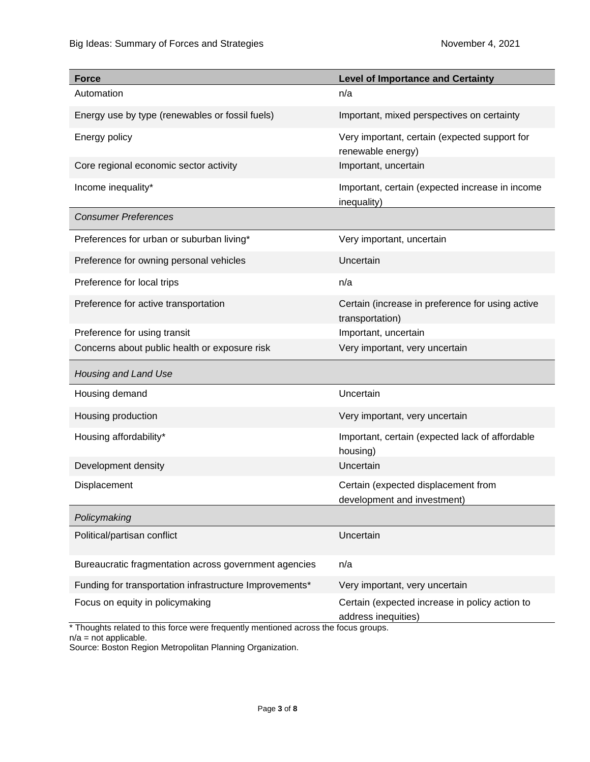| <b>Force</b>                                            | <b>Level of Importance and Certainty</b>                              |
|---------------------------------------------------------|-----------------------------------------------------------------------|
| Automation                                              | n/a                                                                   |
| Energy use by type (renewables or fossil fuels)         | Important, mixed perspectives on certainty                            |
| Energy policy                                           | Very important, certain (expected support for<br>renewable energy)    |
| Core regional economic sector activity                  | Important, uncertain                                                  |
| Income inequality*                                      | Important, certain (expected increase in income<br>inequality)        |
| <b>Consumer Preferences</b>                             |                                                                       |
| Preferences for urban or suburban living*               | Very important, uncertain                                             |
| Preference for owning personal vehicles                 | Uncertain                                                             |
| Preference for local trips                              | n/a                                                                   |
| Preference for active transportation                    | Certain (increase in preference for using active<br>transportation)   |
| Preference for using transit                            | Important, uncertain                                                  |
| Concerns about public health or exposure risk           | Very important, very uncertain                                        |
| Housing and Land Use                                    |                                                                       |
| Housing demand                                          | Uncertain                                                             |
| Housing production                                      | Very important, very uncertain                                        |
| Housing affordability*                                  | Important, certain (expected lack of affordable<br>housing)           |
| Development density                                     | Uncertain                                                             |
| Displacement                                            | Certain (expected displacement from<br>development and investment)    |
| Policymaking                                            |                                                                       |
| Political/partisan conflict                             | Uncertain                                                             |
| Bureaucratic fragmentation across government agencies   | n/a                                                                   |
| Funding for transportation infrastructure Improvements* | Very important, very uncertain                                        |
| Focus on equity in policymaking                         | Certain (expected increase in policy action to<br>address inequities) |

Thoughts related to this force were frequently mentioned across the focus groups.

 $n/a = not$  applicable.

Source: Boston Region Metropolitan Planning Organization.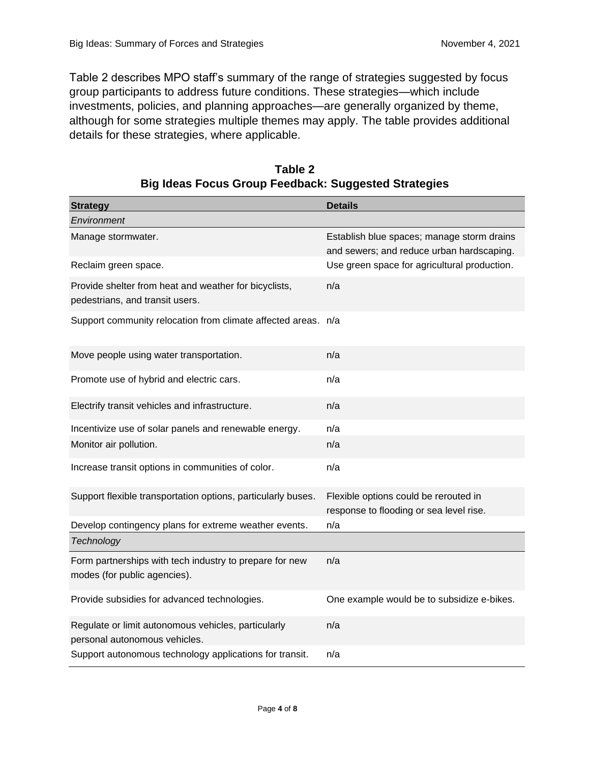Table 2 describes MPO staff's summary of the range of strategies suggested by focus group participants to address future conditions. These strategies—which include investments, policies, and planning approaches—are generally organized by theme, although for some strategies multiple themes may apply. The table provides additional details for these strategies, where applicable.

| <b>Strategy</b>                                                                          | <b>Details</b>                                                                          |
|------------------------------------------------------------------------------------------|-----------------------------------------------------------------------------------------|
| Environment                                                                              |                                                                                         |
| Manage stormwater.                                                                       | Establish blue spaces; manage storm drains<br>and sewers; and reduce urban hardscaping. |
| Reclaim green space.                                                                     | Use green space for agricultural production.                                            |
| Provide shelter from heat and weather for bicyclists,<br>pedestrians, and transit users. | n/a                                                                                     |
| Support community relocation from climate affected areas. n/a                            |                                                                                         |
| Move people using water transportation.                                                  | n/a                                                                                     |
| Promote use of hybrid and electric cars.                                                 | n/a                                                                                     |
| Electrify transit vehicles and infrastructure.                                           | n/a                                                                                     |
| Incentivize use of solar panels and renewable energy.                                    | n/a                                                                                     |
| Monitor air pollution.                                                                   | n/a                                                                                     |
| Increase transit options in communities of color.                                        | n/a                                                                                     |
| Support flexible transportation options, particularly buses.                             | Flexible options could be rerouted in<br>response to flooding or sea level rise.        |
| Develop contingency plans for extreme weather events.                                    | n/a                                                                                     |
| Technology                                                                               |                                                                                         |
| Form partnerships with tech industry to prepare for new<br>modes (for public agencies).  | n/a                                                                                     |
| Provide subsidies for advanced technologies.                                             | One example would be to subsidize e-bikes.                                              |
| Regulate or limit autonomous vehicles, particularly<br>personal autonomous vehicles.     | n/a                                                                                     |
| Support autonomous technology applications for transit.                                  | n/a                                                                                     |

**Table 2 Big Ideas Focus Group Feedback: Suggested Strategies**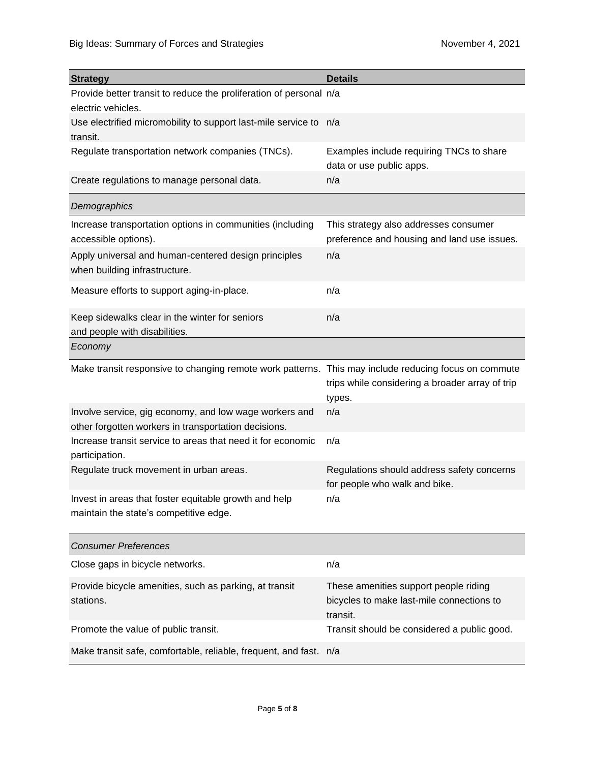| <b>Strategy</b>                                                                                                | <b>Details</b>                                                                                 |
|----------------------------------------------------------------------------------------------------------------|------------------------------------------------------------------------------------------------|
| Provide better transit to reduce the proliferation of personal n/a                                             |                                                                                                |
| electric vehicles.                                                                                             |                                                                                                |
| Use electrified micromobility to support last-mile service to n/a<br>transit.                                  |                                                                                                |
| Regulate transportation network companies (TNCs).                                                              | Examples include requiring TNCs to share<br>data or use public apps.                           |
| Create regulations to manage personal data.                                                                    | n/a                                                                                            |
| Demographics                                                                                                   |                                                                                                |
| Increase transportation options in communities (including<br>accessible options).                              | This strategy also addresses consumer<br>preference and housing and land use issues.           |
| Apply universal and human-centered design principles<br>when building infrastructure.                          | n/a                                                                                            |
| Measure efforts to support aging-in-place.                                                                     | n/a                                                                                            |
| Keep sidewalks clear in the winter for seniors<br>and people with disabilities.                                | n/a                                                                                            |
| Economy                                                                                                        |                                                                                                |
| Make transit responsive to changing remote work patterns. This may include reducing focus on commute           | trips while considering a broader array of trip<br>types.                                      |
| Involve service, gig economy, and low wage workers and<br>other forgotten workers in transportation decisions. | n/a                                                                                            |
| Increase transit service to areas that need it for economic<br>participation.                                  | n/a                                                                                            |
| Regulate truck movement in urban areas.                                                                        | Regulations should address safety concerns<br>for people who walk and bike.                    |
| Invest in areas that foster equitable growth and help<br>maintain the state's competitive edge.                | n/a                                                                                            |
| <b>Consumer Preferences</b>                                                                                    |                                                                                                |
| Close gaps in bicycle networks.                                                                                | n/a                                                                                            |
| Provide bicycle amenities, such as parking, at transit<br>stations.                                            | These amenities support people riding<br>bicycles to make last-mile connections to<br>transit. |
| Promote the value of public transit.                                                                           | Transit should be considered a public good.                                                    |
| Make transit safe, comfortable, reliable, frequent, and fast. n/a                                              |                                                                                                |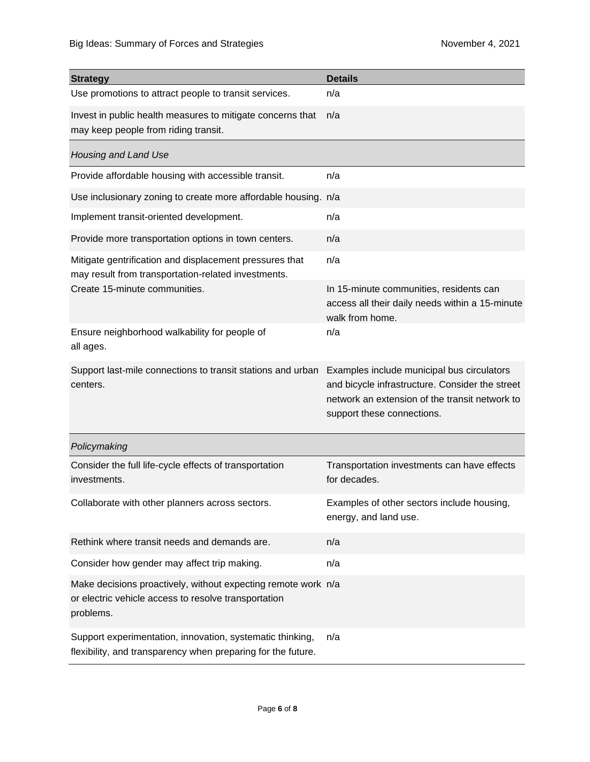| <b>Strategy</b>                                                                                                                    | <b>Details</b>                                                                                                                                                                |
|------------------------------------------------------------------------------------------------------------------------------------|-------------------------------------------------------------------------------------------------------------------------------------------------------------------------------|
| Use promotions to attract people to transit services.                                                                              | n/a                                                                                                                                                                           |
| Invest in public health measures to mitigate concerns that<br>may keep people from riding transit.                                 | n/a                                                                                                                                                                           |
| Housing and Land Use                                                                                                               |                                                                                                                                                                               |
| Provide affordable housing with accessible transit.                                                                                | n/a                                                                                                                                                                           |
| Use inclusionary zoning to create more affordable housing. n/a                                                                     |                                                                                                                                                                               |
| Implement transit-oriented development.                                                                                            | n/a                                                                                                                                                                           |
| Provide more transportation options in town centers.                                                                               | n/a                                                                                                                                                                           |
| Mitigate gentrification and displacement pressures that<br>may result from transportation-related investments.                     | n/a                                                                                                                                                                           |
| Create 15-minute communities.                                                                                                      | In 15-minute communities, residents can<br>access all their daily needs within a 15-minute<br>walk from home.                                                                 |
| Ensure neighborhood walkability for people of<br>all ages.                                                                         | n/a                                                                                                                                                                           |
| Support last-mile connections to transit stations and urban<br>centers.                                                            | Examples include municipal bus circulators<br>and bicycle infrastructure. Consider the street<br>network an extension of the transit network to<br>support these connections. |
| Policymaking                                                                                                                       |                                                                                                                                                                               |
| Consider the full life-cycle effects of transportation<br>investments.                                                             | Transportation investments can have effects<br>for decades.                                                                                                                   |
| Collaborate with other planners across sectors.                                                                                    | Examples of other sectors include housing,<br>energy, and land use.                                                                                                           |
| Rethink where transit needs and demands are.                                                                                       | n/a                                                                                                                                                                           |
| Consider how gender may affect trip making.                                                                                        | n/a                                                                                                                                                                           |
| Make decisions proactively, without expecting remote work n/a<br>or electric vehicle access to resolve transportation<br>problems. |                                                                                                                                                                               |
| Support experimentation, innovation, systematic thinking,<br>flexibility, and transparency when preparing for the future.          | n/a                                                                                                                                                                           |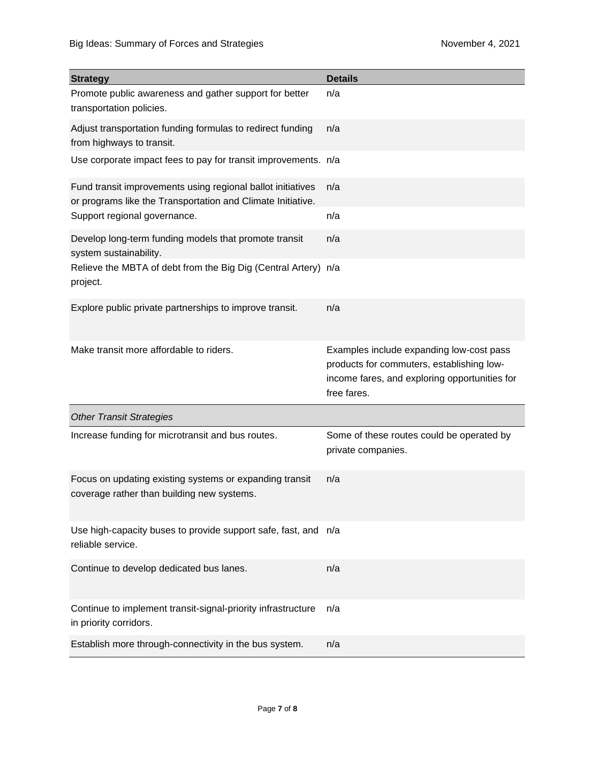| <b>Strategy</b>                                                                                                            | <b>Details</b>                                                                                                                                        |
|----------------------------------------------------------------------------------------------------------------------------|-------------------------------------------------------------------------------------------------------------------------------------------------------|
| Promote public awareness and gather support for better<br>transportation policies.                                         | n/a                                                                                                                                                   |
| Adjust transportation funding formulas to redirect funding<br>from highways to transit.                                    | n/a                                                                                                                                                   |
| Use corporate impact fees to pay for transit improvements. n/a                                                             |                                                                                                                                                       |
| Fund transit improvements using regional ballot initiatives<br>or programs like the Transportation and Climate Initiative. | n/a                                                                                                                                                   |
| Support regional governance.                                                                                               | n/a                                                                                                                                                   |
| Develop long-term funding models that promote transit<br>system sustainability.                                            | n/a                                                                                                                                                   |
| Relieve the MBTA of debt from the Big Dig (Central Artery)<br>project.                                                     | n/a                                                                                                                                                   |
| Explore public private partnerships to improve transit.                                                                    | n/a                                                                                                                                                   |
| Make transit more affordable to riders.                                                                                    | Examples include expanding low-cost pass<br>products for commuters, establishing low-<br>income fares, and exploring opportunities for<br>free fares. |
| <b>Other Transit Strategies</b>                                                                                            |                                                                                                                                                       |
| Increase funding for microtransit and bus routes.                                                                          | Some of these routes could be operated by<br>private companies.                                                                                       |
| Focus on updating existing systems or expanding transit<br>coverage rather than building new systems.                      | n/a                                                                                                                                                   |
| Use high-capacity buses to provide support safe, fast, and n/a<br>reliable service.                                        |                                                                                                                                                       |
| Continue to develop dedicated bus lanes.                                                                                   | n/a                                                                                                                                                   |
| Continue to implement transit-signal-priority infrastructure<br>in priority corridors.                                     | n/a                                                                                                                                                   |
| Establish more through-connectivity in the bus system.                                                                     | n/a                                                                                                                                                   |